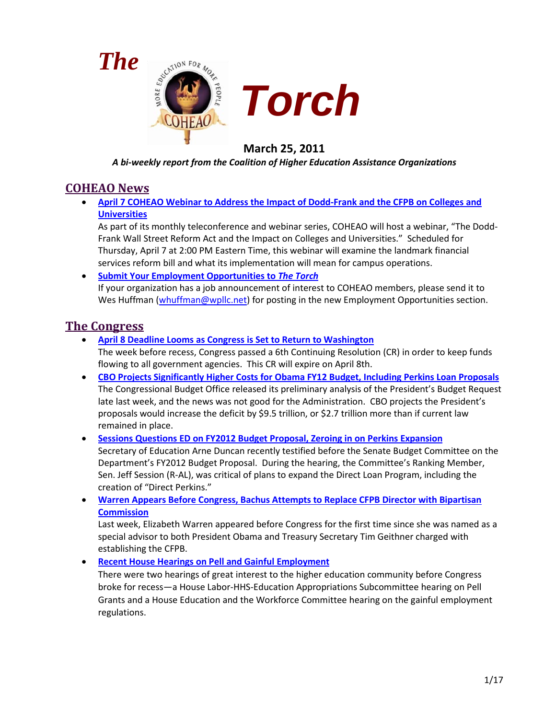



## **March 25, 2011**

*A bi-weekly report from the Coalition of Higher Education Assistance Organizations*

## **COHEAO News**

• **[April 7 COHEAO Webinar to Address the Impact of Dodd-Frank and the CFPB on Colleges and](#page-2-0)  [Universities](#page-2-0)**

As part of its monthly teleconference and webinar series, COHEAO will host a webinar, "The Dodd-Frank Wall Street Reform Act and the Impact on Colleges and Universities." Scheduled for Thursday, April 7 at 2:00 PM Eastern Time, this webinar will examine the landmark financial services reform bill and what its implementation will mean for campus operations.

• **[Submit Your Employment Opportunities to](#page-2-1)** *The Torch* If your organization has a job announcement of interest to COHEAO members, please send it to Wes Huffman [\(whuffman@wpllc.net\)](mailto:whuffman@wpllc.net) for posting in the new Employment Opportunities section.

## **The Congress**

• **[April 8 Deadline Looms as Congress is Set to Return to Washington](#page-2-2)**

The week before recess, Congress passed a 6th Continuing Resolution (CR) in order to keep funds flowing to all government agencies. This CR will expire on April 8th.

- **[CBO Projects Significantly Higher Costs for Obama FY12 Budget, Including Perkins Loan Proposals](#page-3-0)** The Congressional Budget Office released its preliminary analysis of the President's Budget Request late last week, and the news was not good for the Administration. CBO projects the President's proposals would increase the deficit by \$9.5 trillion, or \$2.7 trillion more than if current law remained in place.
- **[Sessions Questions ED on FY2012 Budget Proposal, Zeroing in on Perkins Expansion](#page-5-0)** Secretary of Education Arne Duncan recently testified before the Senate Budget Committee on the Department's FY2012 Budget Proposal. During the hearing, the Committee's Ranking Member, Sen. Jeff Session (R-AL), was critical of plans to expand the Direct Loan Program, including the creation of "Direct Perkins."
- **[Warren Appears Before Congress, Bachus Attempts to Replace CFPB Director with Bipartisan](#page-6-0)  [Commission](#page-6-0)**

Last week, Elizabeth Warren appeared before Congress for the first time since she was named as a special advisor to both President Obama and Treasury Secretary Tim Geithner charged with establishing the CFPB.

• **[Recent House Hearings on Pell and Gainful Employment](#page-6-0)**

There were two hearings of great interest to the higher education community before Congress broke for recess—a House Labor-HHS-Education Appropriations Subcommittee hearing on Pell Grants and a House Education and the Workforce Committee hearing on the gainful employment regulations.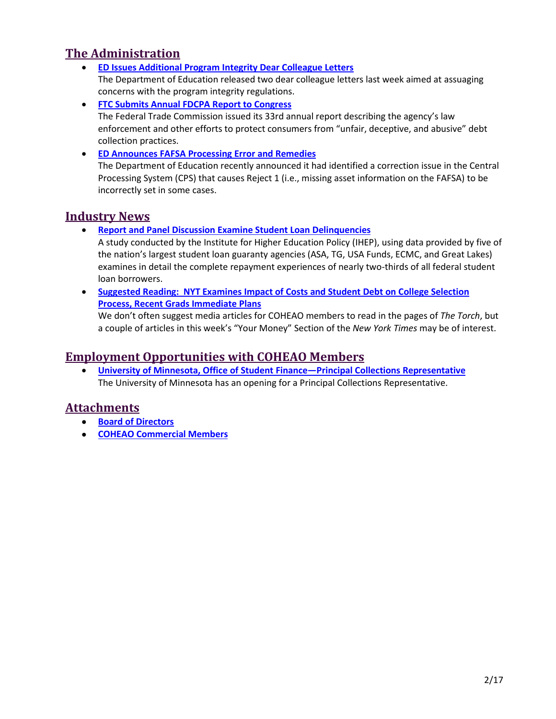## **The Administration**

- **[ED Issues Additional Program Integrity Dear Colleague Letters](#page-8-0)** The Department of Education released two dear colleague letters last week aimed at assuaging concerns with the program integrity regulations.
- **[FTC Submits Annual FDCPA Report to Congress](#page-9-0)** The Federal Trade Commission issued its 33rd annual report describing the agency's law enforcement and other efforts to protect consumers from "unfair, deceptive, and abusive" debt collection practices.
- **[ED Announces FAFSA Processing Error and Remedies](#page-10-0)** The Department of Education recently announced it had identified a correction issue in the Central Processing System (CPS) that causes Reject 1 (i.e., missing asset information on the FAFSA) to be incorrectly set in some cases.

## **Industry News**

• **[Report and Panel Discussion Examine Student Loan Delinquencies](#page-11-0)**

A study conducted by the Institute for Higher Education Policy (IHEP), using data provided by five of the nation's largest student loan guaranty agencies (ASA, TG, USA Funds, ECMC, and Great Lakes) examines in detail the complete repayment experiences of nearly two-thirds of all federal student loan borrowers.

• **[Suggested Reading: NYT Examines Impact of Costs and Student Debt on College Selection](#page-12-0)  [Process, Recent Grads Immediate Plans](#page-12-0)**

We don't often suggest media articles for COHEAO members to read in the pages of *The Torch*, but a couple of articles in this week's "Your Money" Section of the *New York Times* may be of interest.

## **Employment Opportunities with COHEAO Members**

• **[University of Minnesota, Office of Student Finance—Principal Collections Representative](#page-12-1)** The University of Minnesota has an opening for a Principal Collections Representative.

## **Attachments**

- **[Board of Directors](#page-13-0)**
- **[COHEAO Commercial Members](#page-15-0)**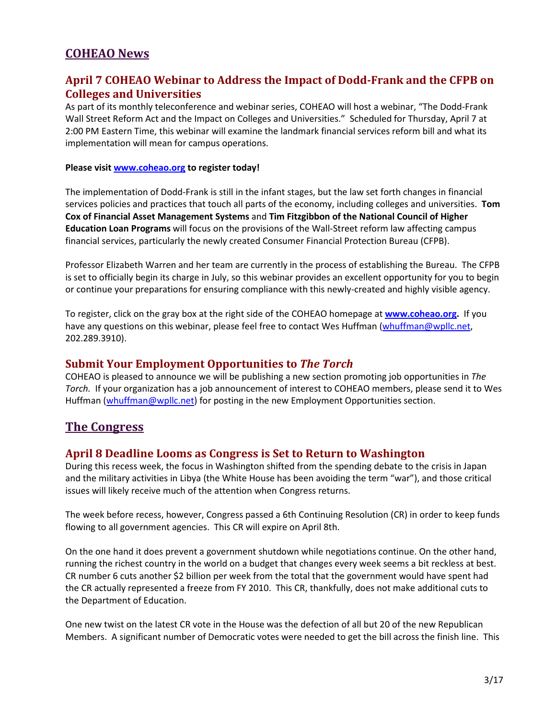## **COHEAO News**

### <span id="page-2-0"></span>**April 7 COHEAO Webinar to Address the Impact of Dodd-Frank and the CFPB on Colleges and Universities**

As part of its monthly teleconference and webinar series, COHEAO will host a webinar, "The Dodd-Frank Wall Street Reform Act and the Impact on Colleges and Universities." Scheduled for Thursday, April 7 at 2:00 PM Eastern Time, this webinar will examine the landmark financial services reform bill and what its implementation will mean for campus operations.

#### **Please visit [www.coheao.org](http://www.coheao.org/) to register today!**

The implementation of Dodd-Frank is still in the infant stages, but the law set forth changes in financial services policies and practices that touch all parts of the economy, including colleges and universities. **Tom Cox of Financial Asset Management Systems** and **Tim Fitzgibbon of the National Council of Higher Education Loan Programs** will focus on the provisions of the Wall-Street reform law affecting campus financial services, particularly the newly created Consumer Financial Protection Bureau (CFPB).

Professor Elizabeth Warren and her team are currently in the process of establishing the Bureau. The CFPB is set to officially begin its charge in July, so this webinar provides an excellent opportunity for you to begin or continue your preparations for ensuring compliance with this newly-created and highly visible agency.

To register, click on the gray box at the right side of the COHEAO homepage at **[www.coheao.org.](http://www.coheao.org/)** If you have any questions on this webinar, please feel free to contact Wes Huffman [\(whuffman@wpllc.net,](mailto:whuffman@wpllc.net) 202.289.3910).

#### <span id="page-2-1"></span>**Submit Your Employment Opportunities to** *The Torch*

COHEAO is pleased to announce we will be publishing a new section promoting job opportunities in *The Torch.* If your organization has a job announcement of interest to COHEAO members, please send it to Wes Huffman [\(whuffman@wpllc.net\)](mailto:whuffman@wpllc.net) for posting in the new Employment Opportunities section.

### **The Congress**

#### <span id="page-2-2"></span>**April 8 Deadline Looms as Congress is Set to Return to Washington**

During this recess week, the focus in Washington shifted from the spending debate to the crisis in Japan and the military activities in Libya (the White House has been avoiding the term "war"), and those critical issues will likely receive much of the attention when Congress returns.

The week before recess, however, Congress passed a 6th Continuing Resolution (CR) in order to keep funds flowing to all government agencies. This CR will expire on April 8th.

On the one hand it does prevent a government shutdown while negotiations continue. On the other hand, running the richest country in the world on a budget that changes every week seems a bit reckless at best. CR number 6 cuts another \$2 billion per week from the total that the government would have spent had the CR actually represented a freeze from FY 2010. This CR, thankfully, does not make additional cuts to the Department of Education.

One new twist on the latest CR vote in the House was the defection of all but 20 of the new Republican Members. A significant number of Democratic votes were needed to get the bill across the finish line. This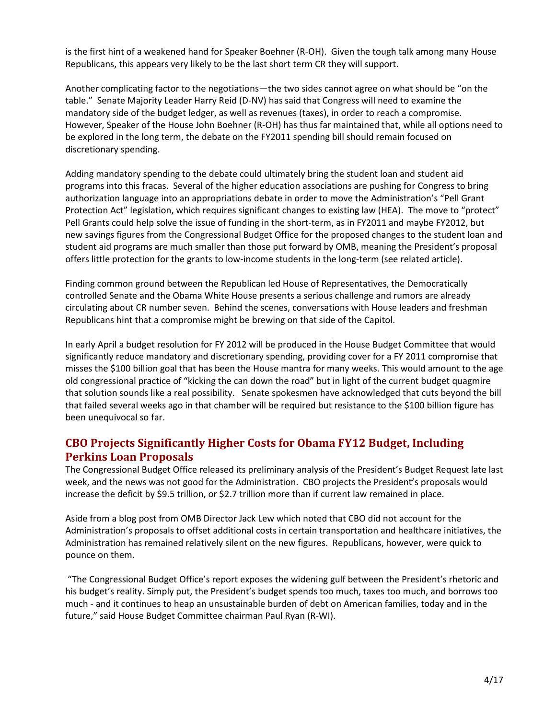is the first hint of a weakened hand for Speaker Boehner (R-OH). Given the tough talk among many House Republicans, this appears very likely to be the last short term CR they will support.

Another complicating factor to the negotiations—the two sides cannot agree on what should be "on the table." Senate Majority Leader Harry Reid (D-NV) has said that Congress will need to examine the mandatory side of the budget ledger, as well as revenues (taxes), in order to reach a compromise. However, Speaker of the House John Boehner (R-OH) has thus far maintained that, while all options need to be explored in the long term, the debate on the FY2011 spending bill should remain focused on discretionary spending.

Adding mandatory spending to the debate could ultimately bring the student loan and student aid programs into this fracas. Several of the higher education associations are pushing for Congress to bring authorization language into an appropriations debate in order to move the Administration's "Pell Grant Protection Act" legislation, which requires significant changes to existing law (HEA). The move to "protect" Pell Grants could help solve the issue of funding in the short-term, as in FY2011 and maybe FY2012, but new savings figures from the Congressional Budget Office for the proposed changes to the student loan and student aid programs are much smaller than those put forward by OMB, meaning the President's proposal offers little protection for the grants to low-income students in the long-term (see related article).

Finding common ground between the Republican led House of Representatives, the Democratically controlled Senate and the Obama White House presents a serious challenge and rumors are already circulating about CR number seven. Behind the scenes, conversations with House leaders and freshman Republicans hint that a compromise might be brewing on that side of the Capitol.

In early April a budget resolution for FY 2012 will be produced in the House Budget Committee that would significantly reduce mandatory and discretionary spending, providing cover for a FY 2011 compromise that misses the \$100 billion goal that has been the House mantra for many weeks. This would amount to the age old congressional practice of "kicking the can down the road" but in light of the current budget quagmire that solution sounds like a real possibility. Senate spokesmen have acknowledged that cuts beyond the bill that failed several weeks ago in that chamber will be required but resistance to the \$100 billion figure has been unequivocal so far.

### <span id="page-3-0"></span>**CBO Projects Significantly Higher Costs for Obama FY12 Budget, Including Perkins Loan Proposals**

The Congressional Budget Office released its preliminary analysis of the President's Budget Request late last week, and the news was not good for the Administration. CBO projects the President's proposals would increase the deficit by \$9.5 trillion, or \$2.7 trillion more than if current law remained in place.

Aside from a blog post from OMB Director Jack Lew which noted that CBO did not account for the Administration's proposals to offset additional costs in certain transportation and healthcare initiatives, the Administration has remained relatively silent on the new figures. Republicans, however, were quick to pounce on them.

"The Congressional Budget Office's report exposes the widening gulf between the President's rhetoric and his budget's reality. Simply put, the President's budget spends too much, taxes too much, and borrows too much - and it continues to heap an unsustainable burden of debt on American families, today and in the future," said House Budget Committee chairman Paul Ryan (R-WI).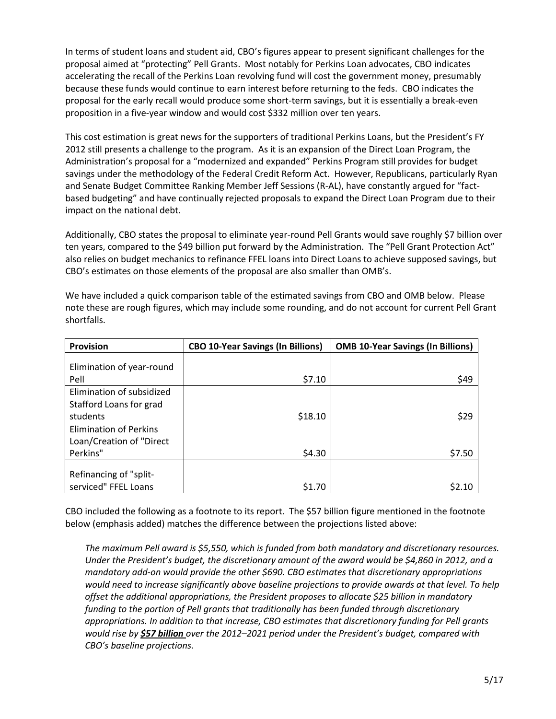In terms of student loans and student aid, CBO's figures appear to present significant challenges for the proposal aimed at "protecting" Pell Grants. Most notably for Perkins Loan advocates, CBO indicates accelerating the recall of the Perkins Loan revolving fund will cost the government money, presumably because these funds would continue to earn interest before returning to the feds. CBO indicates the proposal for the early recall would produce some short-term savings, but it is essentially a break-even proposition in a five-year window and would cost \$332 million over ten years.

This cost estimation is great news for the supporters of traditional Perkins Loans, but the President's FY 2012 still presents a challenge to the program. As it is an expansion of the Direct Loan Program, the Administration's proposal for a "modernized and expanded" Perkins Program still provides for budget savings under the methodology of the Federal Credit Reform Act. However, Republicans, particularly Ryan and Senate Budget Committee Ranking Member Jeff Sessions (R-AL), have constantly argued for "factbased budgeting" and have continually rejected proposals to expand the Direct Loan Program due to their impact on the national debt.

Additionally, CBO states the proposal to eliminate year-round Pell Grants would save roughly \$7 billion over ten years, compared to the \$49 billion put forward by the Administration. The "Pell Grant Protection Act" also relies on budget mechanics to refinance FFEL loans into Direct Loans to achieve supposed savings, but CBO's estimates on those elements of the proposal are also smaller than OMB's.

| <b>Provision</b>              | <b>CBO 10-Year Savings (In Billions)</b> | <b>OMB 10-Year Savings (In Billions)</b> |
|-------------------------------|------------------------------------------|------------------------------------------|
|                               |                                          |                                          |
| Elimination of year-round     |                                          |                                          |
| Pell                          | \$7.10                                   | \$49                                     |
| Elimination of subsidized     |                                          |                                          |
| Stafford Loans for grad       |                                          |                                          |
| students                      | \$18.10                                  | \$29                                     |
| <b>Elimination of Perkins</b> |                                          |                                          |
| Loan/Creation of "Direct      |                                          |                                          |
| Perkins"                      | \$4.30                                   | \$7.50                                   |
|                               |                                          |                                          |
| Refinancing of "split-        |                                          |                                          |
| serviced" FFEL Loans          | \$1.70                                   |                                          |

We have included a quick comparison table of the estimated savings from CBO and OMB below. Please note these are rough figures, which may include some rounding, and do not account for current Pell Grant shortfalls.

CBO included the following as a footnote to its report. The \$57 billion figure mentioned in the footnote below (emphasis added) matches the difference between the projections listed above:

*The maximum Pell award is \$5,550, which is funded from both mandatory and discretionary resources. Under the President's budget, the discretionary amount of the award would be \$4,860 in 2012, and a mandatory add-on would provide the other \$690. CBO estimates that discretionary appropriations would need to increase significantly above baseline projections to provide awards at that level. To help offset the additional appropriations, the President proposes to allocate \$25 billion in mandatory funding to the portion of Pell grants that traditionally has been funded through discretionary appropriations. In addition to that increase, CBO estimates that discretionary funding for Pell grants would rise by \$57 billion over the 2012–2021 period under the President's budget, compared with CBO's baseline projections.*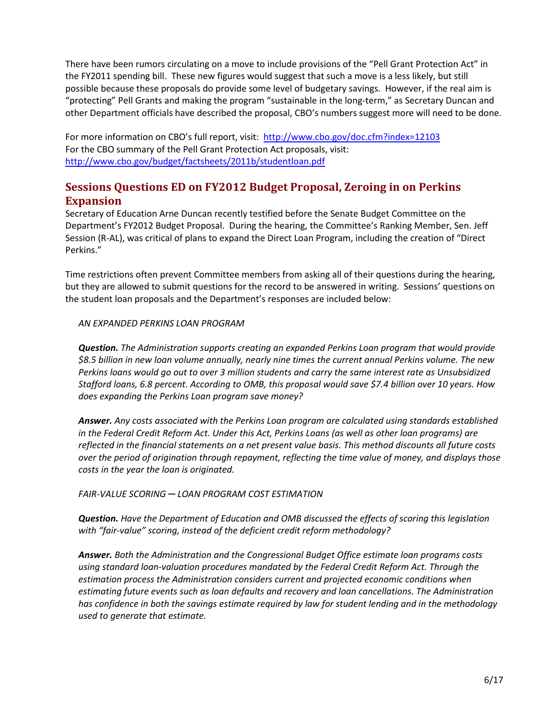There have been rumors circulating on a move to include provisions of the "Pell Grant Protection Act" in the FY2011 spending bill. These new figures would suggest that such a move is a less likely, but still possible because these proposals do provide some level of budgetary savings. However, if the real aim is "protecting" Pell Grants and making the program "sustainable in the long-term," as Secretary Duncan and other Department officials have described the proposal, CBO's numbers suggest more will need to be done.

For more information on CBO's full report, visit: <http://www.cbo.gov/doc.cfm?index=12103> For the CBO summary of the Pell Grant Protection Act proposals, visit: <http://www.cbo.gov/budget/factsheets/2011b/studentloan.pdf>

### <span id="page-5-0"></span>**Sessions Questions ED on FY2012 Budget Proposal, Zeroing in on Perkins Expansion**

Secretary of Education Arne Duncan recently testified before the Senate Budget Committee on the Department's FY2012 Budget Proposal. During the hearing, the Committee's Ranking Member, Sen. Jeff Session (R-AL), was critical of plans to expand the Direct Loan Program, including the creation of "Direct Perkins."

Time restrictions often prevent Committee members from asking all of their questions during the hearing, but they are allowed to submit questions for the record to be answered in writing. Sessions' questions on the student loan proposals and the Department's responses are included below:

*AN EXPANDED PERKINS LOAN PROGRAM* 

*Question. The Administration supports creating an expanded Perkins Loan program that would provide \$8.5 billion in new loan volume annually, nearly nine times the current annual Perkins volume. The new Perkins loans would go out to over 3 million students and carry the same interest rate as Unsubsidized Stafford loans, 6.8 percent. According to OMB, this proposal would save \$7.4 billion over 10 years. How does expanding the Perkins Loan program save money?*

*Answer. Any costs associated with the Perkins Loan program are calculated using standards established in the Federal Credit Reform Act. Under this Act, Perkins Loans (as well as other loan programs) are reflected in the financial statements on a net present value basis. This method discounts all future costs over the period of origination through repayment, reflecting the time value of money, and displays those costs in the year the loan is originated.* 

*FAIR-VALUE SCORING ─ LOAN PROGRAM COST ESTIMATION* 

*Question. Have the Department of Education and OMB discussed the effects of scoring this legislation with "fair-value" scoring, instead of the deficient credit reform methodology?* 

*Answer. Both the Administration and the Congressional Budget Office estimate loan programs costs using standard loan-valuation procedures mandated by the Federal Credit Reform Act. Through the estimation process the Administration considers current and projected economic conditions when estimating future events such as loan defaults and recovery and loan cancellations. The Administration has confidence in both the savings estimate required by law for student lending and in the methodology used to generate that estimate.*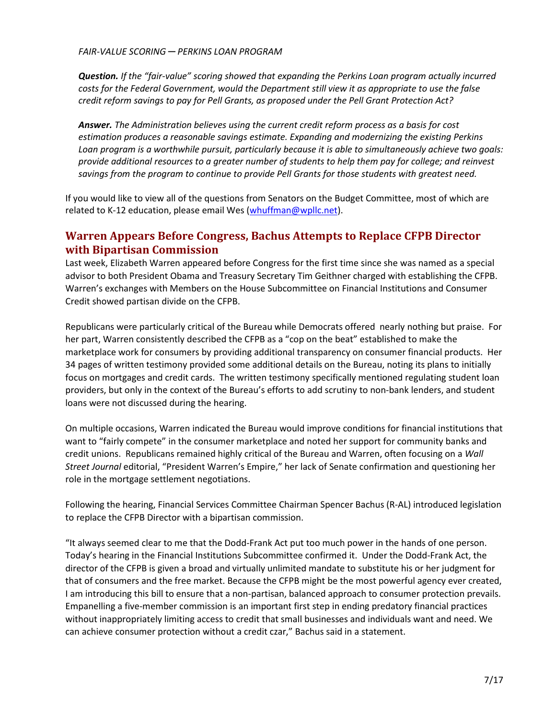*Question. If the "fair-value" scoring showed that expanding the Perkins Loan program actually incurred costs for the Federal Government, would the Department still view it as appropriate to use the false credit reform savings to pay for Pell Grants, as proposed under the Pell Grant Protection Act?* 

*Answer. The Administration believes using the current credit reform process as a basis for cost estimation produces a reasonable savings estimate. Expanding and modernizing the existing Perkins Loan program is a worthwhile pursuit, particularly because it is able to simultaneously achieve two goals: provide additional resources to a greater number of students to help them pay for college; and reinvest savings from the program to continue to provide Pell Grants for those students with greatest need.*

If you would like to view all of the questions from Senators on the Budget Committee, most of which are related to K-12 education, please email Wes [\(whuffman@wpllc.net\)](mailto:whuffman@wpllc.net).

### <span id="page-6-0"></span>**Warren Appears Before Congress, Bachus Attempts to Replace CFPB Director with Bipartisan Commission**

Last week, Elizabeth Warren appeared before Congress for the first time since she was named as a special advisor to both President Obama and Treasury Secretary Tim Geithner charged with establishing the CFPB. Warren's exchanges with Members on the House Subcommittee on Financial Institutions and Consumer Credit showed partisan divide on the CFPB.

Republicans were particularly critical of the Bureau while Democrats offered nearly nothing but praise. For her part, Warren consistently described the CFPB as a "cop on the beat" established to make the marketplace work for consumers by providing additional transparency on consumer financial products. Her 34 pages of written testimony provided some additional details on the Bureau, noting its plans to initially focus on mortgages and credit cards. The written testimony specifically mentioned regulating student loan providers, but only in the context of the Bureau's efforts to add scrutiny to non-bank lenders, and student loans were not discussed during the hearing.

On multiple occasions, Warren indicated the Bureau would improve conditions for financial institutions that want to "fairly compete" in the consumer marketplace and noted her support for community banks and credit unions. Republicans remained highly critical of the Bureau and Warren, often focusing on a *Wall Street Journal* editorial, "President Warren's Empire," her lack of Senate confirmation and questioning her role in the mortgage settlement negotiations.

Following the hearing, Financial Services Committee Chairman Spencer Bachus (R-AL) introduced legislation to replace the CFPB Director with a bipartisan commission.

"It always seemed clear to me that the Dodd-Frank Act put too much power in the hands of one person. Today's hearing in the Financial Institutions Subcommittee confirmed it. Under the Dodd-Frank Act, the director of the CFPB is given a broad and virtually unlimited mandate to substitute his or her judgment for that of consumers and the free market. Because the CFPB might be the most powerful agency ever created, I am introducing this bill to ensure that a non-partisan, balanced approach to consumer protection prevails. Empanelling a five-member commission is an important first step in ending predatory financial practices without inappropriately limiting access to credit that small businesses and individuals want and need. We can achieve consumer protection without a credit czar," Bachus said in a statement.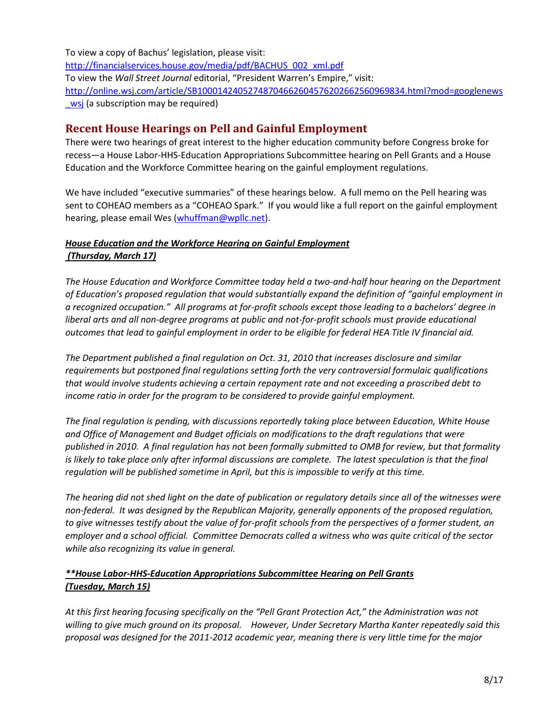To view a copy of Bachus' legislation, please visit: [http://financialservices.house.gov/media/pdf/BACHUS\\_002\\_xml.pdf](http://financialservices.house.gov/media/pdf/BACHUS_002_xml.pdf) To view the *Wall Street Journal* editorial, "President Warren's Empire," visit: [http://online.wsj.com/article/SB10001424052748704662604576202662560969834.html?mod=googlenews](http://online.wsj.com/article/SB10001424052748704662604576202662560969834.html?mod=googlenews_wsj) wsj (a subscription may be required)

### **Recent House Hearings on Pell and Gainful Employment**

There were two hearings of great interest to the higher education community before Congress broke for recess—a House Labor-HHS-Education Appropriations Subcommittee hearing on Pell Grants and a House Education and the Workforce Committee hearing on the gainful employment regulations.

We have included "executive summaries" of these hearings below. A full memo on the Pell hearing was sent to COHEAO members as a "COHEAO Spark." If you would like a full report on the gainful employment hearing, please email Wes [\(whuffman@wpllc.net\)](mailto:whuffman@wpllc.net).

#### *House Education and the Workforce Hearing on Gainful Employment (Thursday, March 17)*

*The House Education and Workforce Committee today held a two-and-half hour hearing on the Department of Education's proposed regulation that would substantially expand the definition of "gainful employment in a recognized occupation." All programs at for-profit schools except those leading to a bachelors' degree in liberal arts and all non-degree programs at public and not-for-profit schools must provide educational outcomes that lead to gainful employment in order to be eligible for federal HEA Title IV financial aid.* 

*The Department published a final regulation on Oct. 31, 2010 that increases disclosure and similar requirements but postponed final regulations setting forth the very controversial formulaic qualifications that would involve students achieving a certain repayment rate and not exceeding a proscribed debt to income ratio in order for the program to be considered to provide gainful employment.* 

*The final regulation is pending, with discussions reportedly taking place between Education, White House and Office of Management and Budget officials on modifications to the draft regulations that were published in 2010. A final regulation has not been formally submitted to OMB for review, but that formality is likely to take place only after informal discussions are complete. The latest speculation is that the final regulation will be published sometime in April, but this is impossible to verify at this time.*

*The hearing did not shed light on the date of publication or regulatory details since all of the witnesses were non-federal. It was designed by the Republican Majority, generally opponents of the proposed regulation, to give witnesses testify about the value of for-profit schools from the perspectives of a former student, an employer and a school official. Committee Democrats called a witness who was quite critical of the sector while also recognizing its value in general.*

#### *\*\*House Labor-HHS-Education Appropriations Subcommittee Hearing on Pell Grants (Tuesday, March 15)*

*At this first hearing focusing specifically on the "Pell Grant Protection Act," the Administration was not willing to give much ground on its proposal. However, Under Secretary Martha Kanter repeatedly said this proposal was designed for the 2011-2012 academic year, meaning there is very little time for the major*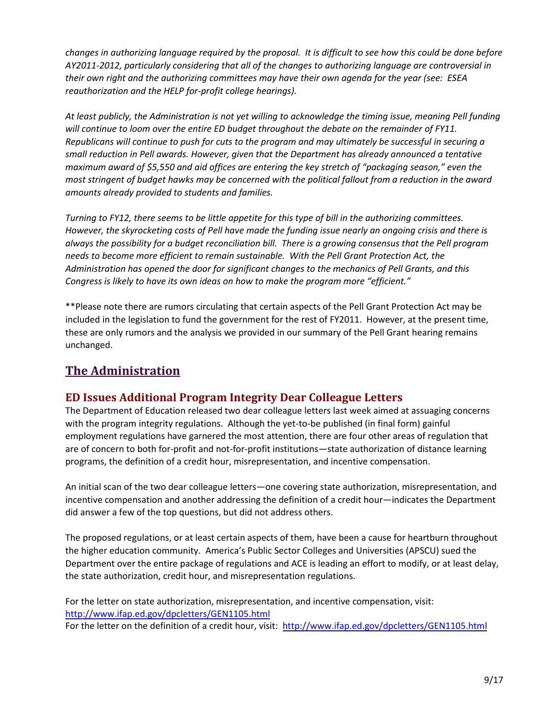*changes in authorizing language required by the proposal. It is difficult to see how this could be done before AY2011-2012, particularly considering that all of the changes to authorizing language are controversial in their own right and the authorizing committees may have their own agenda for the year (see: ESEA reauthorization and the HELP for-profit college hearings).* 

*At least publicly, the Administration is not yet willing to acknowledge the timing issue, meaning Pell funding will continue to loom over the entire ED budget throughout the debate on the remainder of FY11. Republicans will continue to push for cuts to the program and may ultimately be successful in securing a small reduction in Pell awards. However, given that the Department has already announced a tentative maximum award of \$5,550 and aid offices are entering the key stretch of "packaging season," even the most stringent of budget hawks may be concerned with the political fallout from a reduction in the award amounts already provided to students and families.*

*Turning to FY12, there seems to be little appetite for this type of bill in the authorizing committees. However, the skyrocketing costs of Pell have made the funding issue nearly an ongoing crisis and there is always the possibility for a budget reconciliation bill. There is a growing consensus that the Pell program needs to become more efficient to remain sustainable. With the Pell Grant Protection Act, the Administration has opened the door for significant changes to the mechanics of Pell Grants, and this Congress is likely to have its own ideas on how to make the program more "efficient."* 

\*\*Please note there are rumors circulating that certain aspects of the Pell Grant Protection Act may be included in the legislation to fund the government for the rest of FY2011. However, at the present time, these are only rumors and the analysis we provided in our summary of the Pell Grant hearing remains unchanged.

## **The Administration**

## <span id="page-8-0"></span>**ED Issues Additional Program Integrity Dear Colleague Letters**

The Department of Education released two dear colleague letters last week aimed at assuaging concerns with the program integrity regulations. Although the yet-to-be published (in final form) gainful employment regulations have garnered the most attention, there are four other areas of regulation that are of concern to both for-profit and not-for-profit institutions—state authorization of distance learning programs, the definition of a credit hour, misrepresentation, and incentive compensation.

An initial scan of the two dear colleague letters—one covering state authorization, misrepresentation, and incentive compensation and another addressing the definition of a credit hour—indicates the Department did answer a few of the top questions, but did not address others.

The proposed regulations, or at least certain aspects of them, have been a cause for heartburn throughout the higher education community. America's Public Sector Colleges and Universities (APSCU) sued the Department over the entire package of regulations and ACE is leading an effort to modify, or at least delay, the state authorization, credit hour, and misrepresentation regulations.

For the letter on state authorization, misrepresentation, and incentive compensation, visit: <http://www.ifap.ed.gov/dpcletters/GEN1105.html> For the letter on the definition of a credit hour, visit: <http://www.ifap.ed.gov/dpcletters/GEN1105.html>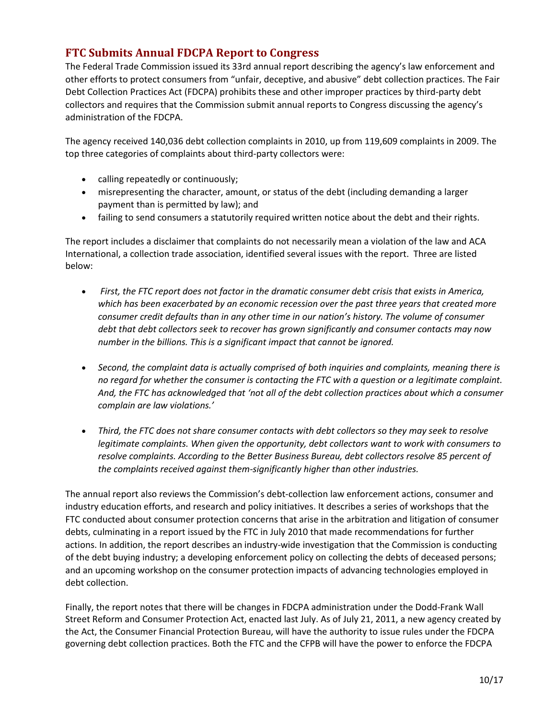### <span id="page-9-0"></span>**FTC Submits Annual FDCPA Report to Congress**

The Federal Trade Commission issued its 33rd annual report describing the agency's law enforcement and other efforts to protect consumers from "unfair, deceptive, and abusive" debt collection practices. The Fair Debt Collection Practices Act (FDCPA) prohibits these and other improper practices by third-party debt collectors and requires that the Commission submit annual reports to Congress discussing the agency's administration of the FDCPA.

The agency received 140,036 debt collection complaints in 2010, up from 119,609 complaints in 2009. The top three categories of complaints about third-party collectors were:

- calling repeatedly or continuously;
- misrepresenting the character, amount, or status of the debt (including demanding a larger payment than is permitted by law); and
- failing to send consumers a statutorily required written notice about the debt and their rights.

The report includes a disclaimer that complaints do not necessarily mean a violation of the law and ACA International, a collection trade association, identified several issues with the report. Three are listed below:

- *First, the FTC report does not factor in the dramatic consumer debt crisis that exists in America, which has been exacerbated by an economic recession over the past three years that created more consumer credit defaults than in any other time in our nation's history. The volume of consumer debt that debt collectors seek to recover has grown significantly and consumer contacts may now number in the billions. This is a significant impact that cannot be ignored.*
- *Second, the complaint data is actually comprised of both inquiries and complaints, meaning there is no regard for whether the consumer is contacting the FTC with a question or a legitimate complaint. And, the FTC has acknowledged that 'not all of the debt collection practices about which a consumer complain are law violations.'*
- *Third, the FTC does not share consumer contacts with debt collectors so they may seek to resolve legitimate complaints. When given the opportunity, debt collectors want to work with consumers to resolve complaints. According to the Better Business Bureau, debt collectors resolve 85 percent of the complaints received against them-significantly higher than other industries.*

The annual report also reviews the Commission's debt-collection law enforcement actions, consumer and industry education efforts, and research and policy initiatives. It describes a series of workshops that the FTC conducted about consumer protection concerns that arise in the arbitration and litigation of consumer debts, culminating in a report issued by the FTC in July 2010 that made recommendations for further actions. In addition, the report describes an industry-wide investigation that the Commission is conducting of the debt buying industry; a developing enforcement policy on collecting the debts of deceased persons; and an upcoming workshop on the consumer protection impacts of advancing technologies employed in debt collection.

Finally, the report notes that there will be changes in FDCPA administration under the Dodd-Frank Wall Street Reform and Consumer Protection Act, enacted last July. As of July 21, 2011, a new agency created by the Act, the Consumer Financial Protection Bureau, will have the authority to issue rules under the FDCPA governing debt collection practices. Both the FTC and the CFPB will have the power to enforce the FDCPA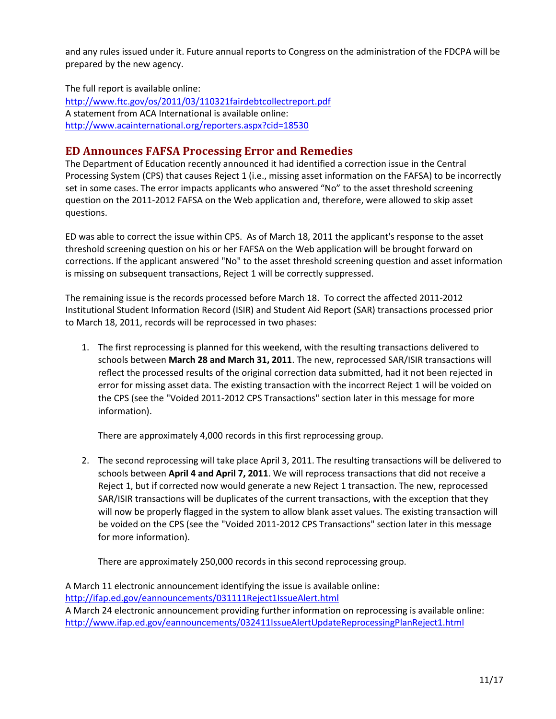and any rules issued under it. Future annual reports to Congress on the administration of the FDCPA will be prepared by the new agency.

The full report is available online: <http://www.ftc.gov/os/2011/03/110321fairdebtcollectreport.pdf> A statement from ACA International is available online: <http://www.acainternational.org/reporters.aspx?cid=18530>

### <span id="page-10-0"></span>**ED Announces FAFSA Processing Error and Remedies**

The Department of Education recently announced it had identified a correction issue in the Central Processing System (CPS) that causes Reject 1 (i.e., missing asset information on the FAFSA) to be incorrectly set in some cases. The error impacts applicants who answered "No" to the asset threshold screening question on the 2011-2012 FAFSA on the Web application and, therefore, were allowed to skip asset questions.

ED was able to correct the issue within CPS. As of March 18, 2011 the applicant's response to the asset threshold screening question on his or her FAFSA on the Web application will be brought forward on corrections. If the applicant answered "No" to the asset threshold screening question and asset information is missing on subsequent transactions, Reject 1 will be correctly suppressed.

The remaining issue is the records processed before March 18. To correct the affected 2011-2012 Institutional Student Information Record (ISIR) and Student Aid Report (SAR) transactions processed prior to March 18, 2011, records will be reprocessed in two phases:

1. The first reprocessing is planned for this weekend, with the resulting transactions delivered to schools between **March 28 and March 31, 2011**. The new, reprocessed SAR/ISIR transactions will reflect the processed results of the original correction data submitted, had it not been rejected in error for missing asset data. The existing transaction with the incorrect Reject 1 will be voided on the CPS (see the "Voided 2011-2012 CPS Transactions" section later in this message for more information).

There are approximately 4,000 records in this first reprocessing group.

2. The second reprocessing will take place April 3, 2011. The resulting transactions will be delivered to schools between **April 4 and April 7, 2011**. We will reprocess transactions that did not receive a Reject 1, but if corrected now would generate a new Reject 1 transaction. The new, reprocessed SAR/ISIR transactions will be duplicates of the current transactions, with the exception that they will now be properly flagged in the system to allow blank asset values. The existing transaction will be voided on the CPS (see the "Voided 2011-2012 CPS Transactions" section later in this message for more information).

There are approximately 250,000 records in this second reprocessing group.

A March 11 electronic announcement identifying the issue is available online: <http://ifap.ed.gov/eannouncements/031111Reject1IssueAlert.html> A March 24 electronic announcement providing further information on reprocessing is available online: <http://www.ifap.ed.gov/eannouncements/032411IssueAlertUpdateReprocessingPlanReject1.html>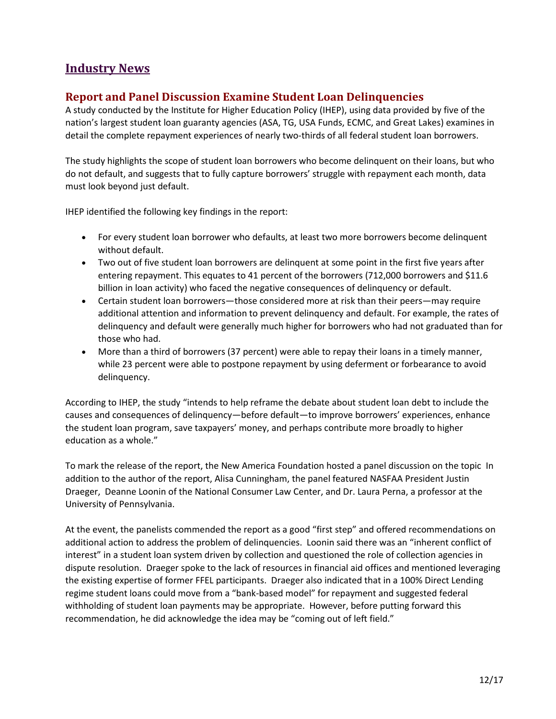## **Industry News**

### <span id="page-11-0"></span>**Report and Panel Discussion Examine Student Loan Delinquencies**

A study conducted by the Institute for Higher Education Policy (IHEP), using data provided by five of the nation's largest student loan guaranty agencies (ASA, TG, USA Funds, ECMC, and Great Lakes) examines in detail the complete repayment experiences of nearly two-thirds of all federal student loan borrowers.

The study highlights the scope of student loan borrowers who become delinquent on their loans, but who do not default, and suggests that to fully capture borrowers' struggle with repayment each month, data must look beyond just default.

IHEP identified the following key findings in the report:

- For every student loan borrower who defaults, at least two more borrowers become delinquent without default.
- Two out of five student loan borrowers are delinquent at some point in the first five years after entering repayment. This equates to 41 percent of the borrowers (712,000 borrowers and \$11.6 billion in loan activity) who faced the negative consequences of delinquency or default.
- Certain student loan borrowers—those considered more at risk than their peers—may require additional attention and information to prevent delinquency and default. For example, the rates of delinquency and default were generally much higher for borrowers who had not graduated than for those who had.
- More than a third of borrowers (37 percent) were able to repay their loans in a timely manner, while 23 percent were able to postpone repayment by using deferment or forbearance to avoid delinquency.

According to IHEP, the study "intends to help reframe the debate about student loan debt to include the causes and consequences of delinquency—before default—to improve borrowers' experiences, enhance the student loan program, save taxpayers' money, and perhaps contribute more broadly to higher education as a whole."

To mark the release of the report, the New America Foundation hosted a panel discussion on the topic In addition to the author of the report, Alisa Cunningham, the panel featured NASFAA President Justin Draeger, Deanne Loonin of the National Consumer Law Center, and Dr. Laura Perna, a professor at the University of Pennsylvania.

At the event, the panelists commended the report as a good "first step" and offered recommendations on additional action to address the problem of delinquencies. Loonin said there was an "inherent conflict of interest" in a student loan system driven by collection and questioned the role of collection agencies in dispute resolution. Draeger spoke to the lack of resources in financial aid offices and mentioned leveraging the existing expertise of former FFEL participants. Draeger also indicated that in a 100% Direct Lending regime student loans could move from a "bank-based model" for repayment and suggested federal withholding of student loan payments may be appropriate. However, before putting forward this recommendation, he did acknowledge the idea may be "coming out of left field."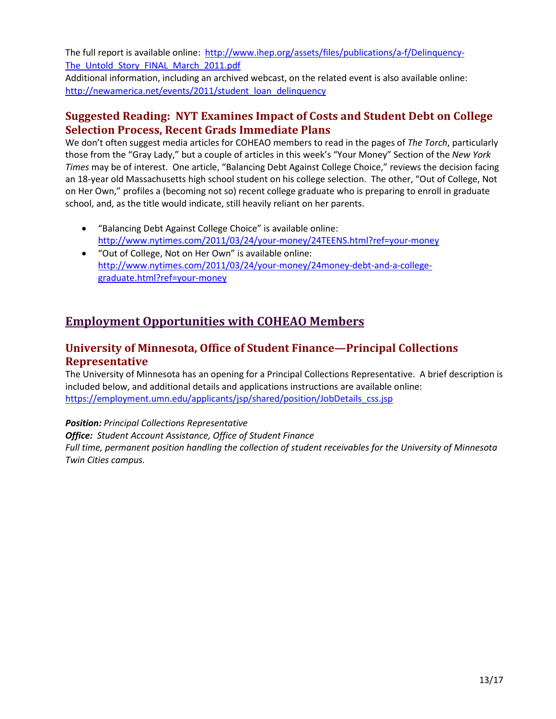The full report is available online: [http://www.ihep.org/assets/files/publications/a-f/Delinquency-](http://www.ihep.org/assets/files/publications/a-f/Delinquency-The_Untold_Story_FINAL_March_2011.pdf)The Untold Story FINAL March 2011.pdf

Additional information, including an archived webcast, on the related event is also available online: [http://newamerica.net/events/2011/student\\_loan\\_delinquency](http://newamerica.net/events/2011/student_loan_delinquency)

### <span id="page-12-0"></span>**Suggested Reading: NYT Examines Impact of Costs and Student Debt on College Selection Process, Recent Grads Immediate Plans**

We don't often suggest media articles for COHEAO members to read in the pages of *The Torch*, particularly those from the "Gray Lady," but a couple of articles in this week's "Your Money" Section of the *New York Times* may be of interest. One article, "Balancing Debt Against College Choice," reviews the decision facing an 18-year old Massachusetts high school student on his college selection. The other, "Out of College, Not on Her Own," profiles a (becoming not so) recent college graduate who is preparing to enroll in graduate school, and, as the title would indicate, still heavily reliant on her parents.

- "Balancing Debt Against College Choice" is available online: <http://www.nytimes.com/2011/03/24/your-money/24TEENS.html?ref=your-money>
- "Out of College, Not on Her Own" is available online: [http://www.nytimes.com/2011/03/24/your-money/24money-debt-and-a-college](http://www.nytimes.com/2011/03/24/your-money/24money-debt-and-a-college-graduate.html?ref=your-money)[graduate.html?ref=your-money](http://www.nytimes.com/2011/03/24/your-money/24money-debt-and-a-college-graduate.html?ref=your-money)

## **Employment Opportunities with COHEAO Members**

### <span id="page-12-1"></span>**University of Minnesota, Office of Student Finance—Principal Collections Representative**

The University of Minnesota has an opening for a Principal Collections Representative. A brief description is included below, and additional details and applications instructions are available online: [https://employment.umn.edu/applicants/jsp/shared/position/JobDetails\\_css.jsp](https://employment.umn.edu/applicants/jsp/shared/position/JobDetails_css.jsp)

*Position: Principal Collections Representative Office: Student Account Assistance, Office of Student Finance Full time, permanent position handling the collection of student receivables for the University of Minnesota Twin Cities campus.*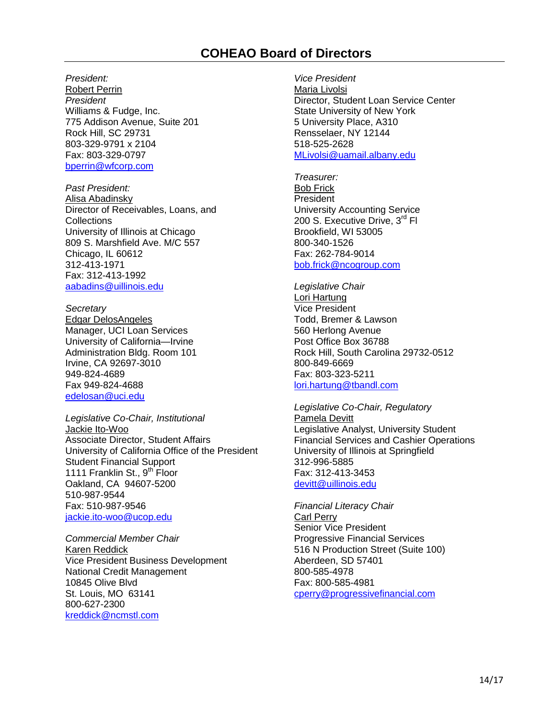## **COHEAO Board of Directors**

<span id="page-13-0"></span>*President:* Robert Perrin *President* Williams & Fudge, Inc. 775 Addison Avenue, Suite 201 Rock Hill, SC 29731 803-329-9791 x 2104 Fax: 803-329-0797 [bperrin@wfcorp.com](mailto:bperrin@wfcorp.com)

*Past President:* Alisa Abadinsky Director of Receivables, Loans, and **Collections** University of Illinois at Chicago 809 S. Marshfield Ave. M/C 557 Chicago, IL 60612 312-413-1971 Fax: 312-413-1992 [aabadins@uillinois.edu](mailto:aabadins@uillinois.edu)

*Secretary* Edgar DelosAngeles Manager, UCI Loan Services University of California—Irvine Administration Bldg. Room 101 Irvine, CA 92697-3010 949-824-4689 Fax 949-824-4688 edelosan@uci.edu

*Legislative Co-Chair, Institutional*  Jackie Ito-Woo Associate Director, Student Affairs University of California Office of the President Student Financial Support 1111 Franklin St., 9<sup>th</sup> Floor Oakland, CA 94607-5200 510-987-9544 Fax: 510-987-9546 [jackie.ito-woo@ucop.edu](mailto:jackie.ito-woo@ucop.edu)

*Commercial Member Chair* Karen Reddick Vice President Business Development National Credit Management 10845 Olive Blvd St. Louis, MO 63141 800-627-2300 [kreddick@ncmstl.com](mailto:kreddick@ncmstl.com)

*Vice President*  Maria Livolsi Director, Student Loan Service Center State University of New York 5 University Place, A310 Rensselaer, NY 12144 518-525-2628 [MLivolsi@uamail.albany.edu](mailto:MLivolsi@uamail.albany.edu)

*Treasurer:* Bob Frick **President** University Accounting Service 200 S. Executive Drive, 3rd Fl. Brookfield, WI 53005 800-340-1526 Fax: 262-784-9014 [bob.frick@ncogroup.com](mailto:bob.frick@ncogroup.com)

*Legislative Chair* Lori Hartung Vice President Todd, Bremer & Lawson 560 Herlong Avenue Post Office Box 36788 Rock Hill, South Carolina 29732-0512 800-849-6669 Fax: 803-323-5211 [lori.hartung@tbandl.com](mailto:lori.hartung@tbandl.com)

*Legislative Co-Chair, Regulatory*  Pamela Devitt Legislative Analyst, University Student Financial Services and Cashier Operations University of Illinois at Springfield 312-996-5885 Fax: 312-413-3453 [devitt@uillinois.edu](mailto:devitt@uillinois.edu)

*Financial Literacy Chair* Carl Perry Senior Vice President Progressive Financial Services 516 N Production Street (Suite 100) Aberdeen, SD 57401 800-585-4978 Fax: 800-585-4981 cperry@progressivefinancial.com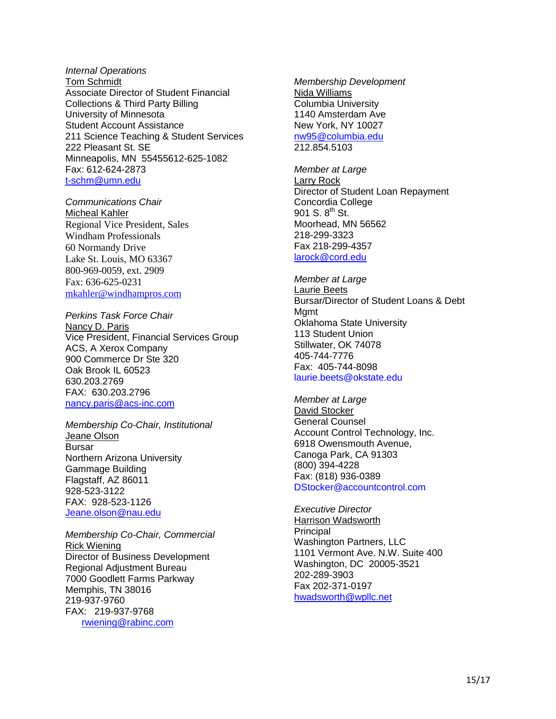#### *Internal Operations* Tom Schmidt Associate Director of Student Financial Collections & Third Party Billing University of Minnesota Student Account Assistance 211 Science Teaching & Student Services 222 Pleasant St. SE Minneapolis, MN 55455612-625-1082 Fax: 612-624-2873 [t-schm@umn.edu](mailto:t-schm@umn.edu)

*Communications Chair* Micheal Kahler Regional Vice President, Sales Windham Professionals 60 Normandy Drive Lake St. Louis, MO 63367 800-969-0059, ext. 2909 Fax: 636-625-0231 [mkahler@windhampros.com](mailto:mkahler@windhampros.com)

*Perkins Task Force Chair*  Nancy D. Paris Vice President, Financial Services Group ACS, A Xerox Company 900 Commerce Dr Ste 320 Oak Brook IL 60523 630.203.2769 FAX: 630.203.2796 [nancy.paris@acs-inc.com](mailto:nancy.paris@acs-inc.com)

*Membership Co-Chair, Institutional* Jeane Olson Bursar Northern Arizona University Gammage Building Flagstaff, AZ 86011 928-523-3122 FAX: 928-523-1126 [Jeane.olson@nau.edu](mailto:Jeane.olson@nau.edu)

*Membership Co-Chair, Commercial*  Rick Wiening Director of Business Development Regional Adjustment Bureau 7000 Goodlett Farms Parkway Memphis, TN 38016 219-937-9760 FAX: 219-937-9768 [rwiening@rabinc.com](mailto:rwiening@rabinc.com)

*Membership Development* Nida Williams Columbia University 1140 Amsterdam Ave New York, NY 10027 [nw95@columbia.edu](mailto:nw95@columbia.edu) 212.854.5103

*Member at Large* Larry Rock Director of Student Loan Repayment Concordia College 901 S.  $8^{th}$  St. Moorhead, MN 56562 218-299-3323 Fax 218-299-4357 [larock@cord.edu](mailto:larock@cord.edu) 

*Member at Large* Laurie Beets Bursar/Director of Student Loans & Debt Mamt Oklahoma State University 113 Student Union Stillwater, OK 74078 405-744-7776 Fax: 405-744-8098 [laurie.beets@okstate.edu](mailto:laurie.beets@okstate.edu)

*Member at Large* David Stocker General Counsel Account Control Technology, Inc. 6918 Owensmouth Avenue, Canoga Park, CA 91303 (800) 394-4228 Fax: (818) 936-0389 [DStocker@accountcontrol.com](mailto:DStocker@accountcontrol.com)

*Executive Director* Harrison Wadsworth **Principal** Washington Partners, LLC 1101 Vermont Ave. N.W. Suite 400 Washington, DC 20005-3521 202-289-3903 Fax 202-371-0197 [hwadsworth@wpllc.net](mailto:hwadsworth@wpllc.net)